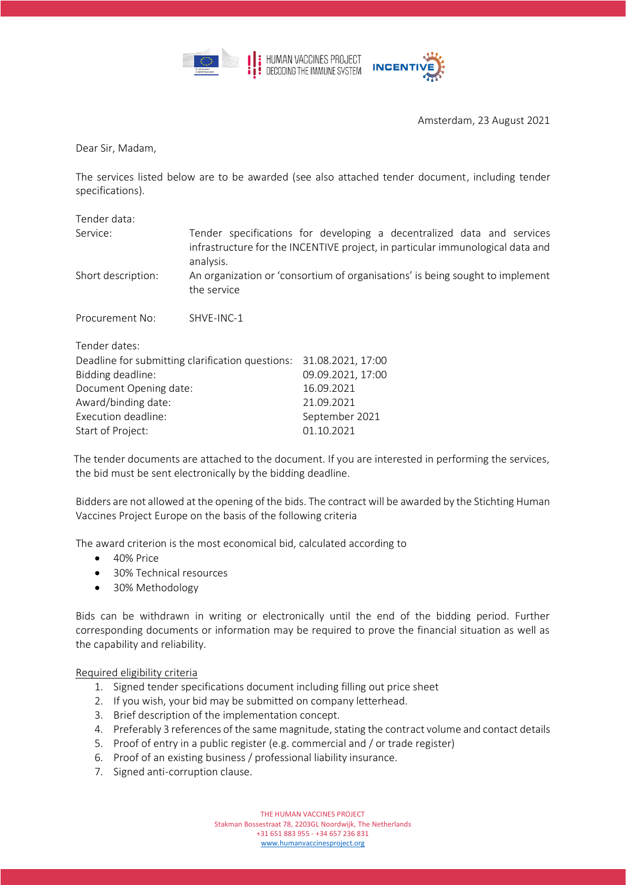



Amsterdam, 23 August 2021

Dear Sir, Madam,

The services listed below are to be awarded (see also attached tender document, including tender specifications).

| Tender data:                                     |             |                                                                                                                                                          |
|--------------------------------------------------|-------------|----------------------------------------------------------------------------------------------------------------------------------------------------------|
| Service:                                         | analysis.   | Tender specifications for developing a decentralized data and services<br>infrastructure for the INCENTIVE project, in particular immunological data and |
| Short description:                               | the service | An organization or 'consortium of organisations' is being sought to implement                                                                            |
| Procurement No:                                  | SHVE-INC-1  |                                                                                                                                                          |
| Tender dates:                                    |             |                                                                                                                                                          |
| Deadline for submitting clarification questions: |             | 31.08.2021, 17:00                                                                                                                                        |
| Bidding deadline:                                |             | 09.09.2021, 17:00                                                                                                                                        |
| Document Opening date:                           |             | 16.09.2021                                                                                                                                               |
| Award/binding date:                              |             | 21.09.2021                                                                                                                                               |
| Execution deadline:                              |             | September 2021                                                                                                                                           |
| Start of Project:                                |             | 01.10.2021                                                                                                                                               |

The tender documents are attached to the document. If you are interested in performing the services, the bid must be sent electronically by the bidding deadline.

Bidders are not allowed at the opening of the bids. The contract will be awarded by the Stichting Human Vaccines Project Europe on the basis of the following criteria

The award criterion is the most economical bid, calculated according to

- 40% Price
- 30% Technical resources
- 30% Methodology

Bids can be withdrawn in writing or electronically until the end of the bidding period. Further corresponding documents or information may be required to prove the financial situation as well as the capability and reliability.

## Required eligibility criteria

- 1. Signed tender specifications document including filling out price sheet
- 2. If you wish, your bid may be submitted on company letterhead.
- 3. Brief description of the implementation concept.
- 4. Preferably 3 references of the same magnitude, stating the contract volume and contact details
- 5. Proof of entry in a public register (e.g. commercial and / or trade register)
- 6. Proof of an existing business / professional liability insurance.
- 7. Signed anti-corruption clause.

THE HUMAN VACCINES PROJECT

Stakman Bossestraat 78, 2203GL Noordwijk, The Netherlands

+31 651 883 955 - +34 657 236 831 [www.humanvaccinesproject.org](http://www.humanvaccinesproject.org/)